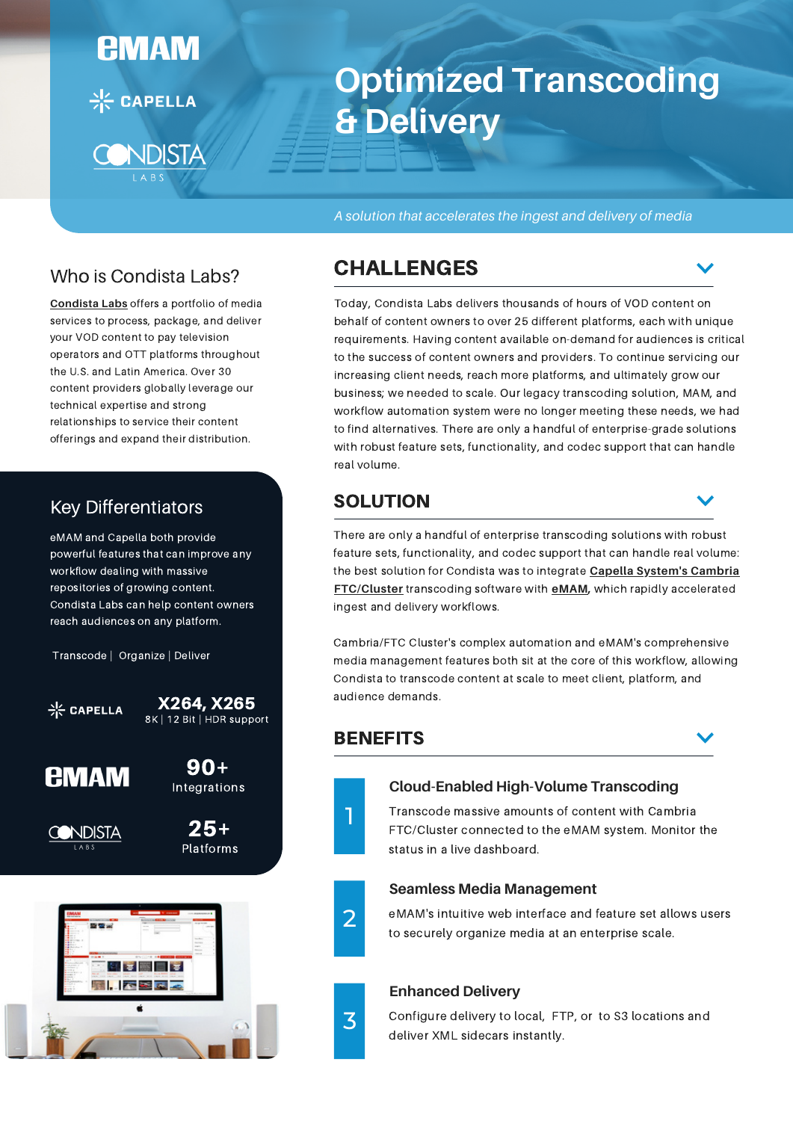

# **Optimized Transcoding & Delivery**

*A solution that accelerates the ingest and delivery of media*

## Who is Condista Labs?

**[Condista](https://condista.com/condista-labs/) Labs** offers a portfolio of media services to process, package, and deliver your VOD content to pay television operators and OTT platforms throughout the U.S. and Latin America. Over 30 content providers globally leverage our technical expertise and strong relationships to service their content offerings and expand their distribution.

# Key Differentiators

eMAM and Capella both provide powerful features that can improve any workflow dealing with massive repositories of growing content. Condista Labs can help content owners reach audiences on any platform.

Transcode | Organize | Deliver





25+ Platforms

90+



# CHALLENGES

Today, Condista Labs delivers thousands of hours of VOD content on behalf of content owners to over 25 different platforms, each with unique requirements. Having content available on-demand for audiences is critical to the success of content owners and providers. To continue servicing our increasing client needs, reach more platforms, and ultimately grow our business; we needed to scale. Our legacy transcoding solution, MAM, and workflow automation system were no longer meeting these needs, we had to find alternatives. There are only a handful of enterprise-grade solutions with robust feature sets, functionality, and codec support that can handle real volume.

## SOLUTION

There are only a handful of enterprise transcoding solutions with robust feature sets, functionality, and codec support that can handle real volume: the best solution for Condista was to integrate **Capella System's Cambria [FTC/Cluster](https://capellasystems.net/products/transcoding/cambria-ftc/)** transcoding software with **[eMAM,](https://emamsolutions.com/info_whats_emam.aspx)** which rapidly accelerated ingest and delivery workflows.

Cambria/FTC Cluster's complex automation and eMAM's comprehensive media management features both sit at the core of this workflow, allowing Condista to transcode content at scale to meet client, platform, and audience demands.

## **BENEFITS**



## **Cloud-Enabled High-Volume Transcoding**

Transcode massive amounts of content with Cambria FTC/Cluster connected to the eMAM system. Monitor the status in a live dashboard.



3

### **Seamless Media Management**

eMAM's intuitive web interface and feature set allows users to securely organize media at an enterprise scale.

## **Enhanced Delivery**

Configure delivery to local, FTP, or to S3 locations and deliver XML sidecars instantly.